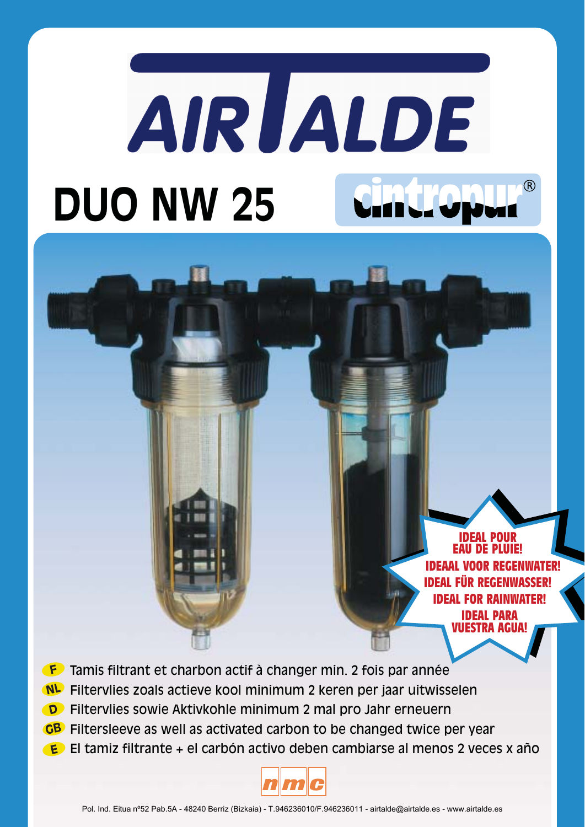# AIR JALDE ന്റ **DUO NW 25**

**IDEAL EAU DE PLUIE! IDEAAL VOOR REGENWATER! IDEAL FÜR REGENWASSER! IDEAL FOR RAINWATER! IDEAL PARA** TRA AGII

- Tamis filtrant et charbon actif à changer min. 2 fois par année
- Filtervlies zoals actieve kool minimum 2 keren per jaar uitwisselen
- Filtervlies sowie Aktivkohle minimum 2 mal pro Jahr erneuern
- GB Filtersleeve as well as activated carbon to be changed twice per year
- El tamiz filtrante + el carbón activo deben cambiarse al menos 2 veces x año